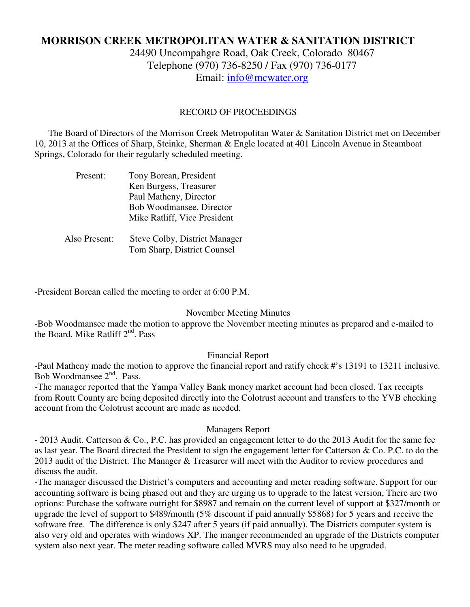# **MORRISON CREEK METROPOLITAN WATER & SANITATION DISTRICT**

24490 Uncompahgre Road, Oak Creek, Colorado 80467 Telephone (970) 736-8250 / Fax (970) 736-0177 Email: info@mcwater.org

#### RECORD OF PROCEEDINGS

 The Board of Directors of the Morrison Creek Metropolitan Water & Sanitation District met on December 10, 2013 at the Offices of Sharp, Steinke, Sherman & Engle located at 401 Lincoln Avenue in Steamboat Springs, Colorado for their regularly scheduled meeting.

| Present:      | Tony Borean, President               |
|---------------|--------------------------------------|
|               | Ken Burgess, Treasurer               |
|               | Paul Matheny, Director               |
|               | Bob Woodmansee, Director             |
|               | Mike Ratliff, Vice President         |
|               |                                      |
| Also Present: | <b>Steve Colby, District Manager</b> |
|               | Tom Sharp, District Counsel          |

-President Borean called the meeting to order at 6:00 P.M.

#### November Meeting Minutes

-Bob Woodmansee made the motion to approve the November meeting minutes as prepared and e-mailed to the Board. Mike Ratliff  $2<sup>nd</sup>$ . Pass

### Financial Report

-Paul Matheny made the motion to approve the financial report and ratify check #'s 13191 to 13211 inclusive. Bob Woodmansee 2nd. Pass.

-The manager reported that the Yampa Valley Bank money market account had been closed. Tax receipts from Routt County are being deposited directly into the Colotrust account and transfers to the YVB checking account from the Colotrust account are made as needed.

#### Managers Report

- 2013 Audit. Catterson & Co., P.C. has provided an engagement letter to do the 2013 Audit for the same fee as last year. The Board directed the President to sign the engagement letter for Catterson & Co. P.C. to do the 2013 audit of the District. The Manager & Treasurer will meet with the Auditor to review procedures and discuss the audit.

-The manager discussed the District's computers and accounting and meter reading software. Support for our accounting software is being phased out and they are urging us to upgrade to the latest version, There are two options: Purchase the software outright for \$8987 and remain on the current level of support at \$327/month or upgrade the level of support to \$489/month (5% discount if paid annually \$5868) for 5 years and receive the software free. The difference is only \$247 after 5 years (if paid annually). The Districts computer system is also very old and operates with windows XP. The manger recommended an upgrade of the Districts computer system also next year. The meter reading software called MVRS may also need to be upgraded.